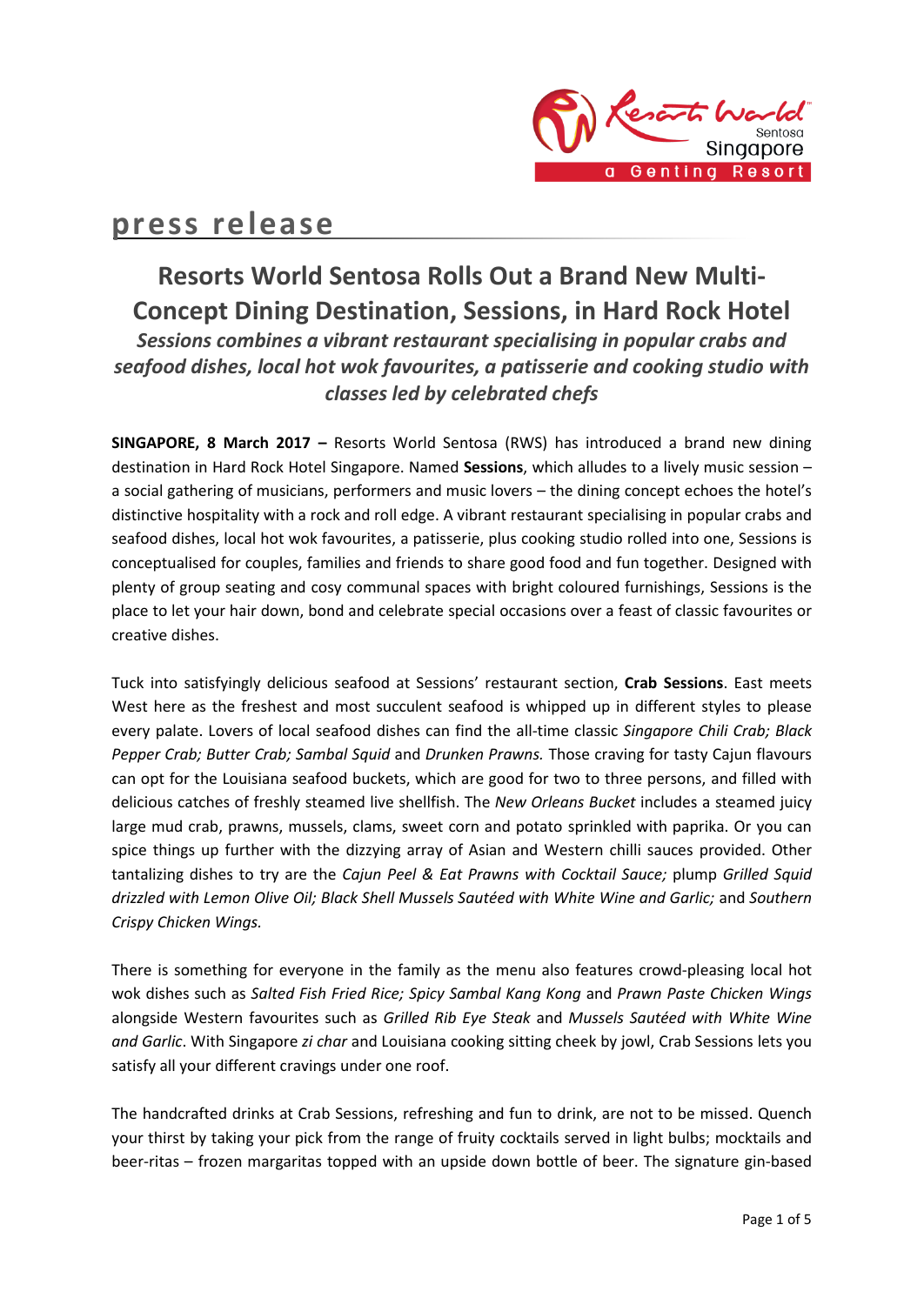

# **press release**

# **Resorts World Sentosa Rolls Out a Brand New Multi-Concept Dining Destination, Sessions, in Hard Rock Hotel** *Sessions combines a vibrant restaurant specialising in popular crabs and seafood dishes, local hot wok favourites, a patisserie and cooking studio with classes led by celebrated chefs*

**SINGAPORE, 8 March 2017 –** Resorts World Sentosa (RWS) has introduced a brand new dining destination in Hard Rock Hotel Singapore. Named **Sessions**, which alludes to a lively music session – a social gathering of musicians, performers and music lovers – the dining concept echoes the hotel's distinctive hospitality with a rock and roll edge. A vibrant restaurant specialising in popular crabs and seafood dishes, local hot wok favourites, a patisserie, plus cooking studio rolled into one, Sessions is conceptualised for couples, families and friends to share good food and fun together. Designed with plenty of group seating and cosy communal spaces with bright coloured furnishings, Sessions is the place to let your hair down, bond and celebrate special occasions over a feast of classic favourites or creative dishes.

Tuck into satisfyingly delicious seafood at Sessions' restaurant section, **Crab Sessions**. East meets West here as the freshest and most succulent seafood is whipped up in different styles to please every palate. Lovers of local seafood dishes can find the all-time classic *Singapore Chili Crab; Black Pepper Crab; Butter Crab; Sambal Squid* and *Drunken Prawns.* Those craving for tasty Cajun flavours can opt for the Louisiana seafood buckets, which are good for two to three persons, and filled with delicious catches of freshly steamed live shellfish. The *New Orleans Bucket* includes a steamed juicy large mud crab, prawns, mussels, clams, sweet corn and potato sprinkled with paprika. Or you can spice things up further with the dizzying array of Asian and Western chilli sauces provided. Other tantalizing dishes to try are the *Cajun Peel & Eat Prawns with Cocktail Sauce;* plump *Grilled Squid drizzled with Lemon Olive Oil; Black Shell Mussels Sautéed with White Wine and Garlic;* and *Southern Crispy Chicken Wings.*

There is something for everyone in the family as the menu also features crowd-pleasing local hot wok dishes such as *Salted Fish Fried Rice; Spicy Sambal Kang Kong* and *Prawn Paste Chicken Wings* alongside Western favourites such as *Grilled Rib Eye Steak* and *Mussels Sautéed with White Wine and Garlic*. With Singapore *zi char* and Louisiana cooking sitting cheek by jowl, Crab Sessions lets you satisfy all your different cravings under one roof.

The handcrafted drinks at Crab Sessions, refreshing and fun to drink, are not to be missed. Quench your thirst by taking your pick from the range of fruity cocktails served in light bulbs; mocktails and beer-ritas – frozen margaritas topped with an upside down bottle of beer. The signature gin-based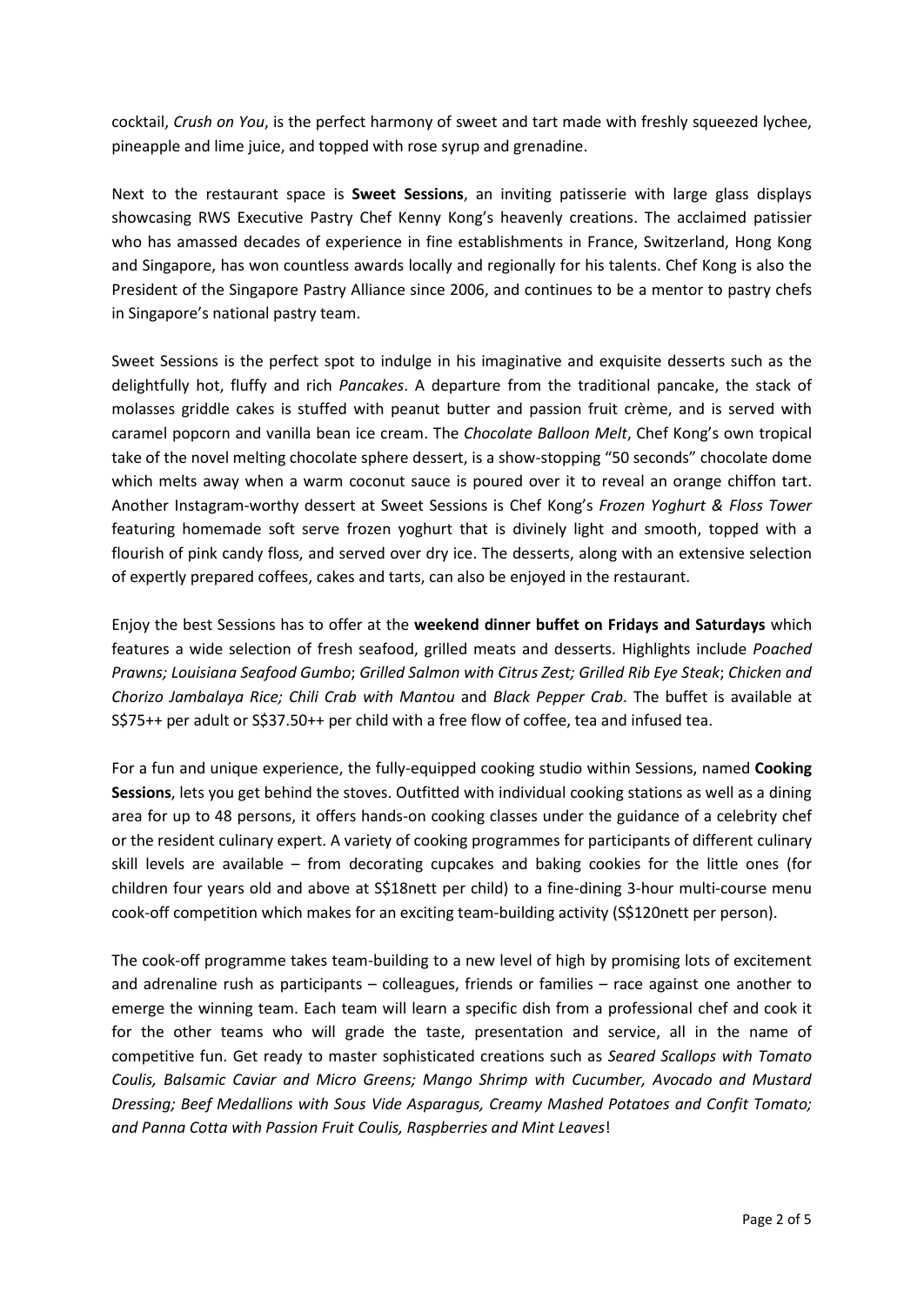cocktail, *Crush on You*, is the perfect harmony of sweet and tart made with freshly squeezed lychee, pineapple and lime juice, and topped with rose syrup and grenadine.

Next to the restaurant space is **Sweet Sessions**, an inviting patisserie with large glass displays showcasing RWS Executive Pastry Chef Kenny Kong's heavenly creations. The acclaimed patissier who has amassed decades of experience in fine establishments in France, Switzerland, Hong Kong and Singapore, has won countless awards locally and regionally for his talents. Chef Kong is also the President of the Singapore Pastry Alliance since 2006, and continues to be a mentor to pastry chefs in Singapore's national pastry team.

Sweet Sessions is the perfect spot to indulge in his imaginative and exquisite desserts such as the delightfully hot, fluffy and rich *Pancakes*. A departure from the traditional pancake, the stack of molasses griddle cakes is stuffed with peanut butter and passion fruit crème, and is served with caramel popcorn and vanilla bean ice cream. The *Chocolate Balloon Melt*, Chef Kong's own tropical take of the novel melting chocolate sphere dessert, is a show-stopping "50 seconds" chocolate dome which melts away when a warm coconut sauce is poured over it to reveal an orange chiffon tart. Another Instagram-worthy dessert at Sweet Sessions is Chef Kong's *Frozen Yoghurt & Floss Tower*  featuring homemade soft serve frozen yoghurt that is divinely light and smooth, topped with a flourish of pink candy floss, and served over dry ice. The desserts, along with an extensive selection of expertly prepared coffees, cakes and tarts, can also be enjoyed in the restaurant.

Enjoy the best Sessions has to offer at the **weekend dinner buffet on Fridays and Saturdays** which features a wide selection of fresh seafood, grilled meats and desserts. Highlights include *Poached Prawns; Louisiana Seafood Gumbo*; *Grilled Salmon with Citrus Zest; Grilled Rib Eye Steak*; *Chicken and Chorizo Jambalaya Rice; Chili Crab with Mantou* and *Black Pepper Crab*. The buffet is available at S\$75++ per adult or S\$37.50++ per child with a free flow of coffee, tea and infused tea.

For a fun and unique experience, the fully-equipped cooking studio within Sessions, named **Cooking Sessions**, lets you get behind the stoves. Outfitted with individual cooking stations as well as a dining area for up to 48 persons, it offers hands-on cooking classes under the guidance of a celebrity chef or the resident culinary expert. A variety of cooking programmes for participants of different culinary skill levels are available – from decorating cupcakes and baking cookies for the little ones (for children four years old and above at S\$18nett per child) to a fine-dining 3-hour multi-course menu cook-off competition which makes for an exciting team-building activity (S\$120nett per person).

The cook-off programme takes team-building to a new level of high by promising lots of excitement and adrenaline rush as participants – colleagues, friends or families – race against one another to emerge the winning team. Each team will learn a specific dish from a professional chef and cook it for the other teams who will grade the taste, presentation and service, all in the name of competitive fun. Get ready to master sophisticated creations such as *Seared Scallops with Tomato Coulis, Balsamic Caviar and Micro Greens; Mango Shrimp with Cucumber, Avocado and Mustard Dressing; Beef Medallions with Sous Vide Asparagus, Creamy Mashed Potatoes and Confit Tomato; and Panna Cotta with Passion Fruit Coulis, Raspberries and Mint Leaves*!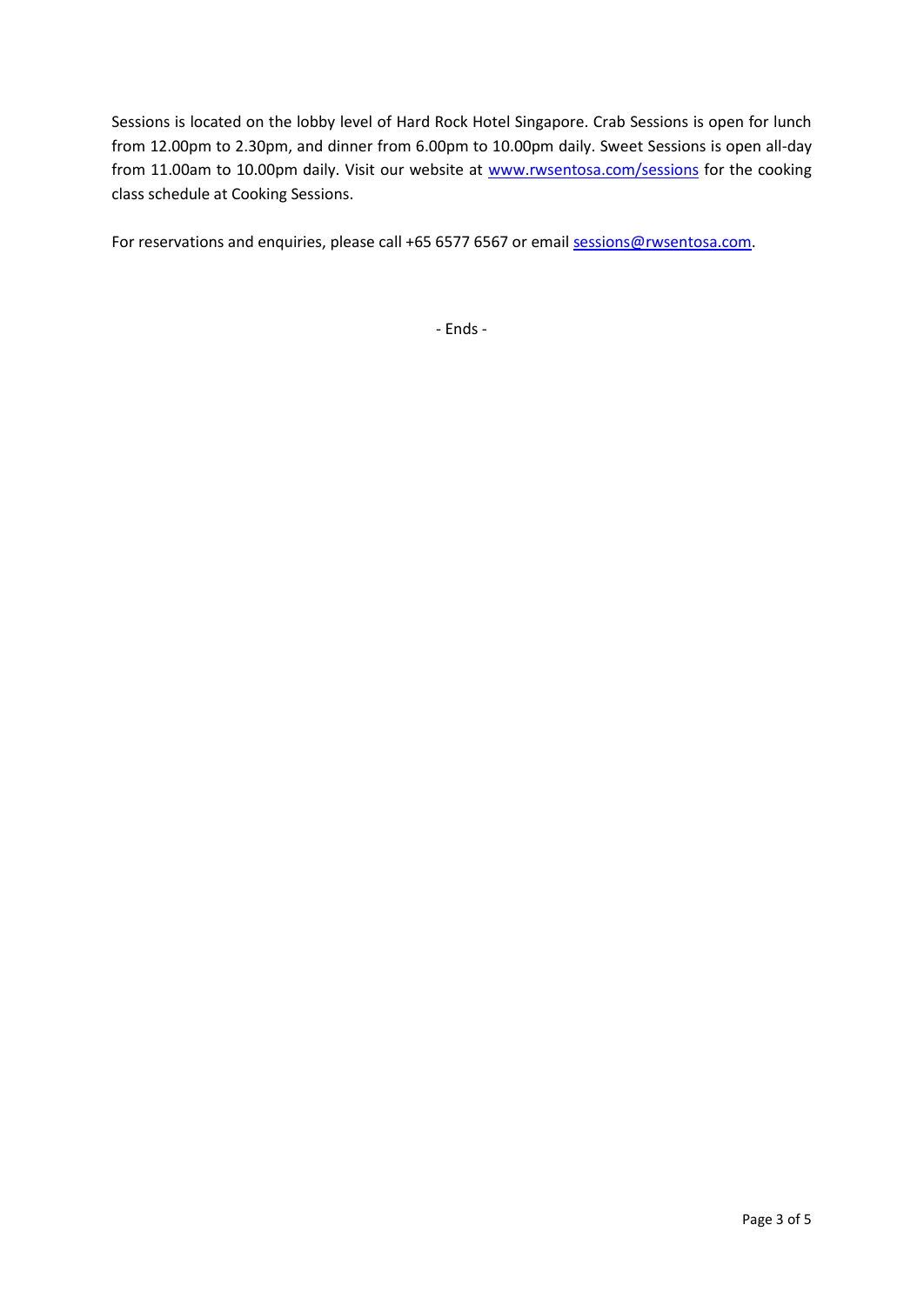Sessions is located on the lobby level of Hard Rock Hotel Singapore. Crab Sessions is open for lunch from 12.00pm to 2.30pm, and dinner from 6.00pm to 10.00pm daily. Sweet Sessions is open all-day from 11.00am to 10.00pm daily. Visit our website at [www.rwsentosa.com/sessions](http://www.rwsentosa.com/sessions) for the cooking class schedule at Cooking Sessions.

For reservations and enquiries, please call +65 6577 6567 or emai[l sessions@rwsentosa.com.](mailto:sessions@rwsentosa.com)

- Ends -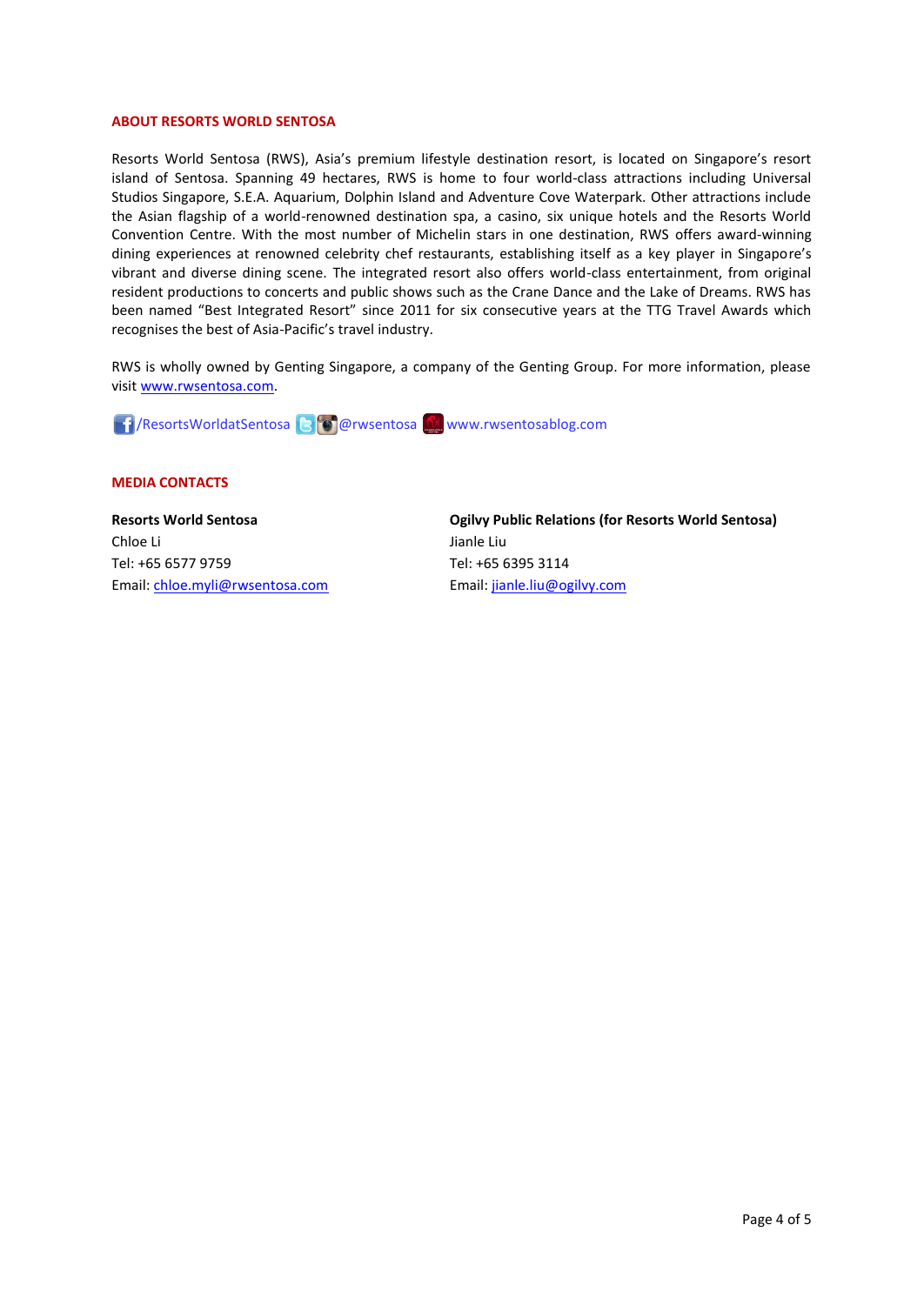#### **ABOUT RESORTS WORLD SENTOSA**

Resorts World Sentosa (RWS), Asia's premium lifestyle destination resort, is located on Singapore's resort island of Sentosa. Spanning 49 hectares, RWS is home to four world-class attractions including Universal Studios Singapore, S.E.A. Aquarium, Dolphin Island and Adventure Cove Waterpark. Other attractions include the Asian flagship of a world-renowned destination spa, a casino, six unique hotels and the Resorts World Convention Centre. With the most number of Michelin stars in one destination, RWS offers award-winning dining experiences at renowned celebrity chef restaurants, establishing itself as a key player in Singapore's vibrant and diverse dining scene. The integrated resort also offers world-class entertainment, from original resident productions to concerts and public shows such as the Crane Dance and the Lake of Dreams. RWS has been named "Best Integrated Resort" since 2011 for six consecutive years at the TTG Travel Awards which recognises the best of Asia-Pacific's travel industry.

RWS is wholly owned by Genting Singapore, a company of the Genting Group. For more information, please visi[t www.rwsentosa.com.](http://www.rwsentosa.com/)

/ResortsWorldatSentosa @rwsentosa www.rwsentosablog.com

## **MEDIA CONTACTS**

**Resorts World Sentosa** Chloe Li Tel: +65 6577 9759 Email: [chloe.myli@rwsentosa.com](mailto:chloe.myli@rwsentosa.com) **Ogilvy Public Relations (for Resorts World Sentosa)**  Jianle Liu Tel: +65 6395 3114 Email: [jianle.liu@ogilvy.com](mailto:jianle.liu@ogilvy.com)